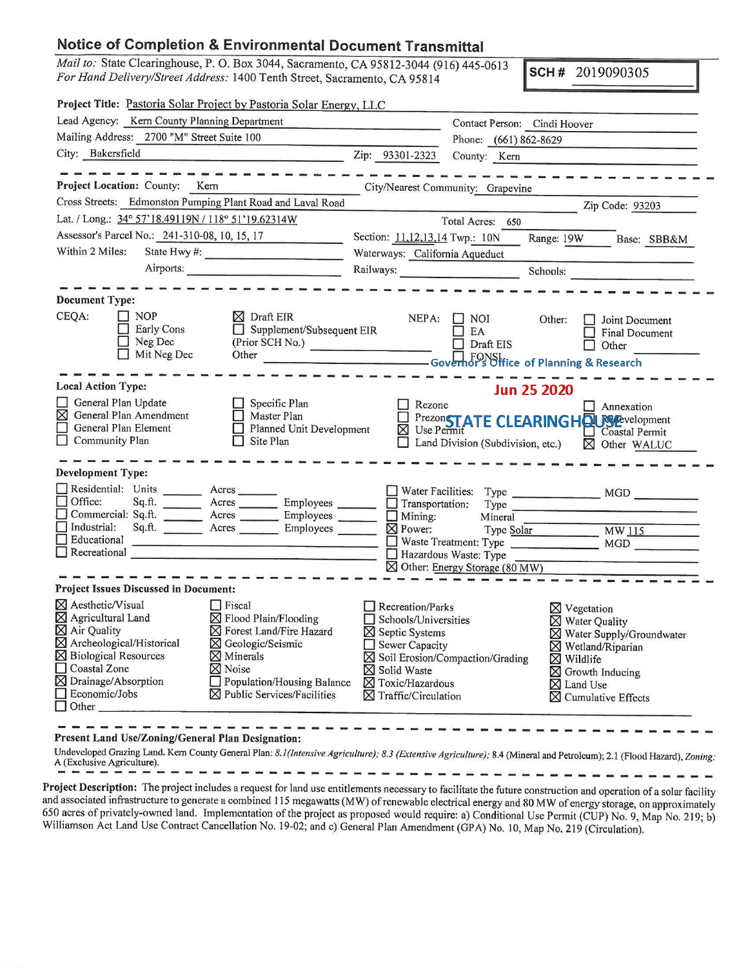## **Notice of Completion & Environmental Document Transmittal**

*Mail to: State Clearinghouse, P. O. Box 3044, Sacramento, CA 95812-3044 (916) 445-0613 For Hand Delivery/Street Address:* 1400 Tenth Street, Sacramento, CA 95814 \_

SCH# 2019090305

|                                                                                                                                        |                                                                                                                        | Project Title: Pastoria Solar Project by Pastoria Solar Energy, LLC                                                                                                                                                                |                                                                                                                                                                                                                         |                                                     |                                                                                                                                                                                                                                           |  |  |
|----------------------------------------------------------------------------------------------------------------------------------------|------------------------------------------------------------------------------------------------------------------------|------------------------------------------------------------------------------------------------------------------------------------------------------------------------------------------------------------------------------------|-------------------------------------------------------------------------------------------------------------------------------------------------------------------------------------------------------------------------|-----------------------------------------------------|-------------------------------------------------------------------------------------------------------------------------------------------------------------------------------------------------------------------------------------------|--|--|
|                                                                                                                                        | Lead Agency: Kern County Planning Department                                                                           |                                                                                                                                                                                                                                    |                                                                                                                                                                                                                         |                                                     | Contact Person: Cindi Hoover                                                                                                                                                                                                              |  |  |
|                                                                                                                                        | Mailing Address: 2700 "M" Street Suite 100                                                                             |                                                                                                                                                                                                                                    |                                                                                                                                                                                                                         | Phone: (661) 862-8629                               |                                                                                                                                                                                                                                           |  |  |
| City: Bakersfield                                                                                                                      |                                                                                                                        |                                                                                                                                                                                                                                    | Zip: 93301-2323                                                                                                                                                                                                         | County: Kern                                        |                                                                                                                                                                                                                                           |  |  |
|                                                                                                                                        | Project Location: County: Kern                                                                                         | Cross Streets: Edmonston Pumping Plant Road and Laval Road                                                                                                                                                                         | City/Nearest Community: Grapevine                                                                                                                                                                                       |                                                     | the committee committee of the committee of the committee of the committee of                                                                                                                                                             |  |  |
|                                                                                                                                        |                                                                                                                        |                                                                                                                                                                                                                                    |                                                                                                                                                                                                                         |                                                     | Zip Code: 93203                                                                                                                                                                                                                           |  |  |
|                                                                                                                                        |                                                                                                                        | Lat. / Long.: 34° 57'18.49119N / 118° 51'19.62314W                                                                                                                                                                                 | Total Acres: 650                                                                                                                                                                                                        |                                                     |                                                                                                                                                                                                                                           |  |  |
| Assessor's Parcel No.: 241-310-08, 10, 15, 17<br><b>Billian Artists Control</b>                                                        |                                                                                                                        |                                                                                                                                                                                                                                    | Section: 11,12,13,14 Twp.: 10N<br>Range: 19W Base: SBB&M                                                                                                                                                                |                                                     |                                                                                                                                                                                                                                           |  |  |
| Within 2 Miles:                                                                                                                        |                                                                                                                        | State Hwy #:                                                                                                                                                                                                                       | Waterways: California Aqueduct                                                                                                                                                                                          |                                                     |                                                                                                                                                                                                                                           |  |  |
|                                                                                                                                        |                                                                                                                        | Airports:                                                                                                                                                                                                                          |                                                                                                                                                                                                                         |                                                     | Schools:                                                                                                                                                                                                                                  |  |  |
| <b>Document Type:</b>                                                                                                                  |                                                                                                                        |                                                                                                                                                                                                                                    |                                                                                                                                                                                                                         |                                                     |                                                                                                                                                                                                                                           |  |  |
| CEQA:                                                                                                                                  | $\Box$ NOP<br>Early Cons<br>$\Box$ Neg Dec<br>$\Box$ Mit Neg Dec                                                       | $\boxtimes$ Draft EIR<br>Supplement/Subsequent EIR<br>(Prior SCH No.)                                                                                                                                                              |                                                                                                                                                                                                                         | $NEPA:$ $\Box$ NOI<br>$\Box$ EA<br>$\Box$ Draft EIS | Other:<br><b>Joint Document</b><br>$\Box$ Final Document<br>Other<br>N.<br>Other Content Content of Planning & Research                                                                                                                   |  |  |
| <b>Local Action Type:</b>                                                                                                              |                                                                                                                        |                                                                                                                                                                                                                                    |                                                                                                                                                                                                                         |                                                     | <b>Jun 25 2020</b>                                                                                                                                                                                                                        |  |  |
| ⊠<br>П<br>Community Plan                                                                                                               | General Plan Update<br>General Plan Amendment<br>General Plan Element                                                  | $\Box$ Specific Plan<br>Master Plan<br>Planned Unit Development<br>$\Box$ Site Plan                                                                                                                                                | $\Box$ Rezone                                                                                                                                                                                                           | $\Box$ Land Division (Subdivision, etc.)            | $\Box$ Annexation<br>E Prezon <b>STATE CLEARING HOUSE</b> Coastal Permit<br>Coastal Permit<br>⊠ Other WALUC                                                                                                                               |  |  |
| <b>Development Type:</b>                                                                                                               |                                                                                                                        |                                                                                                                                                                                                                                    |                                                                                                                                                                                                                         |                                                     |                                                                                                                                                                                                                                           |  |  |
| $\Box$ Office:                                                                                                                         | Residential: Units ________ Acres _______                                                                              | Sq.ft. Reference of Mater Facilities:<br>Sq.ft. Reference of Mater Facilities:<br>Commercial: Sq.ft. ________ Acres ________ Employees ______                                                                                      |                                                                                                                                                                                                                         | Type                                                |                                                                                                                                                                                                                                           |  |  |
| $\Box$ Industrial:<br>Educational                                                                                                      |                                                                                                                        | Sq.ft. <u>Acres</u> Acres Employees<br>the contract of the contract of the contract of the contract of the contract of<br>Recreational                                                                                             |                                                                                                                                                                                                                         | Hazardous Waste: Type                               | Mining: Mineral<br>Mining: Type Solar MW 115<br>Waste Treatment: Type MGD                                                                                                                                                                 |  |  |
|                                                                                                                                        |                                                                                                                        |                                                                                                                                                                                                                                    |                                                                                                                                                                                                                         | $\boxtimes$ Other: Energy Storage (80 MW)           |                                                                                                                                                                                                                                           |  |  |
|                                                                                                                                        | <b>Project Issues Discussed in Document:</b>                                                                           |                                                                                                                                                                                                                                    |                                                                                                                                                                                                                         |                                                     |                                                                                                                                                                                                                                           |  |  |
| ⊠ Aesthetic/Visual<br>$\boxtimes$ Agricultural Land<br>$\boxtimes$ Air Quality<br>Coastal Zone<br>$\Box$ Economic/Jobs<br>$\Box$ Other | $\overline{\boxtimes}$ Archeological/Historical<br>$\boxtimes$ Biological Resources<br>$\boxtimes$ Drainage/Absorption | F <sub>iscal</sub><br>$\boxtimes$ Flood Plain/Flooding<br>⊠ Forest Land/Fire Hazard<br>⊠ Geologic/Seismic<br>$\boxtimes$ Minerals<br>$\n  Notice\n$<br>$\Box$ Population/Housing Balance<br>$\boxtimes$ Public Services/Facilities | Recreation/Parks<br>Schools/Universities<br>$\boxtimes$ Septic Systems<br>$\Box$ Sewer Capacity<br>$\boxtimes$ Soil Erosion/Compaction/Grading<br>⊠ Solid Waste<br>$\boxtimes$ Toxic/Hazardous<br>⊠ Traffic/Circulation |                                                     | $\boxtimes$ Vegetation<br>$\times$ Water Quality<br>$\boxtimes$ Water Supply/Groundwater<br>$\boxtimes$ Wetland/Riparian<br>$\boxtimes$ Wildlife<br>$\boxtimes$ Growth Inducing<br>$\boxtimes$ Land Use<br>$\boxtimes$ Cumulative Effects |  |  |

Present Land Use/Zoning/General Plan Designation:

Undeveloped Grazing Land. Kem County General Plan: *8. 1 (Intensive Agriculture); 8.3 (Extensive Agriculture);* 8.4 (Mineral and Petroleum); 2.1 (Flood Hazard), *Zoning:* A (Exclusive Agriculture).

Project Description: The project includes a request for land use entitlements necessary to facilitate the future construction and operation of a solar facility and associated infrastructure to generate a combined 115 megawatts (MW) ofrenewable electrical energy and 80 MW of energy storage, on approximately 650 acres of privately-owned land. Implementation of the project as proposed would require: a) Conditional Use Permit (CUP) No. 9, Map No. 219; b) Williamson Act Land Use Contract Cancellation No. 19-02; and c) General Plan Amendment (GPA) No. 10, Map No. 219 (Circulation).